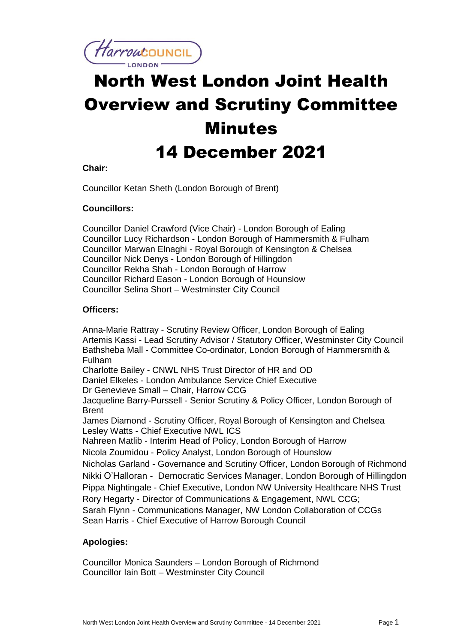

# North West London Joint Health Overview and Scrutiny Committee **Minutes** 14 December 2021

# **Chair:**

Councillor Ketan Sheth (London Borough of Brent)

## **Councillors:**

Councillor Daniel Crawford (Vice Chair) - London Borough of Ealing Councillor Lucy Richardson - London Borough of Hammersmith & Fulham Councillor Marwan Elnaghi - Royal Borough of Kensington & Chelsea Councillor Nick Denys - London Borough of Hillingdon Councillor Rekha Shah - London Borough of Harrow Councillor Richard Eason - London Borough of Hounslow Councillor Selina Short – Westminster City Council

## **Officers:**

Anna-Marie Rattray - Scrutiny Review Officer, London Borough of Ealing Artemis Kassi - Lead Scrutiny Advisor / Statutory Officer, Westminster City Council Bathsheba Mall - Committee Co-ordinator, London Borough of Hammersmith & Fulham Charlotte Bailey - CNWL NHS Trust Director of HR and OD Daniel Elkeles - London Ambulance Service Chief Executive Dr Genevieve Small – Chair, Harrow CCG Jacqueline Barry-Purssell - Senior Scrutiny & Policy Officer, London Borough of **Brent** James Diamond - Scrutiny Officer, Royal Borough of Kensington and Chelsea Lesley Watts - Chief Executive NWL ICS Nahreen Matlib - Interim Head of Policy, London Borough of Harrow Nicola Zoumidou - Policy Analyst, London Borough of Hounslow Nicholas Garland - Governance and Scrutiny Officer, London Borough of Richmond Nikki O'Halloran - Democratic Services Manager, London Borough of Hillingdon Pippa Nightingale - Chief Executive, London NW University Healthcare NHS Trust Rory Hegarty - Director of Communications & Engagement, NWL CCG; Sarah Flynn - Communications Manager, NW London Collaboration of CCGs Sean Harris - Chief Executive of Harrow Borough Council

# **Apologies:**

Councillor Monica Saunders – London Borough of Richmond Councillor Iain Bott – Westminster City Council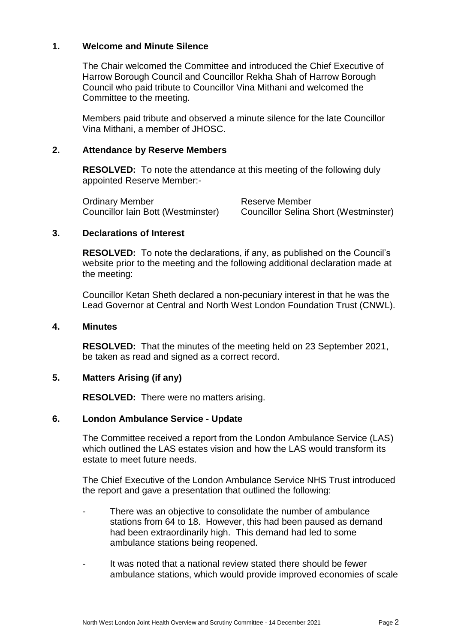## **1. Welcome and Minute Silence**

The Chair welcomed the Committee and introduced the Chief Executive of Harrow Borough Council and Councillor Rekha Shah of Harrow Borough Council who paid tribute to Councillor Vina Mithani and welcomed the Committee to the meeting.

Members paid tribute and observed a minute silence for the late Councillor Vina Mithani, a member of JHOSC.

## **2. Attendance by Reserve Members**

**RESOLVED:** To note the attendance at this meeting of the following duly appointed Reserve Member:-

Ordinary Member Reserve Member

Councillor Iain Bott (Westminster) Councillor Selina Short (Westminster)

# **3. Declarations of Interest**

**RESOLVED:** To note the declarations, if any, as published on the Council's website prior to the meeting and the following additional declaration made at the meeting:

Councillor Ketan Sheth declared a non-pecuniary interest in that he was the Lead Governor at Central and North West London Foundation Trust (CNWL).

#### **4. Minutes**

**RESOLVED:** That the minutes of the meeting held on 23 September 2021, be taken as read and signed as a correct record.

#### **5. Matters Arising (if any)**

**RESOLVED:** There were no matters arising.

#### **6. London Ambulance Service - Update**

The Committee received a report from the London Ambulance Service (LAS) which outlined the LAS estates vision and how the LAS would transform its estate to meet future needs.

The Chief Executive of the London Ambulance Service NHS Trust introduced the report and gave a presentation that outlined the following:

- There was an objective to consolidate the number of ambulance stations from 64 to 18. However, this had been paused as demand had been extraordinarily high. This demand had led to some ambulance stations being reopened.
- It was noted that a national review stated there should be fewer ambulance stations, which would provide improved economies of scale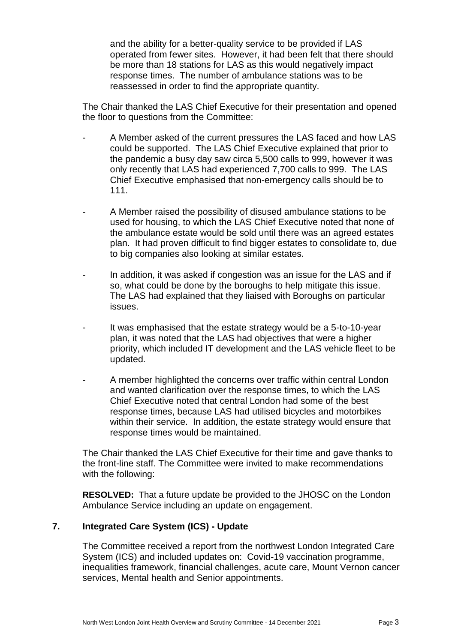and the ability for a better-quality service to be provided if LAS operated from fewer sites. However, it had been felt that there should be more than 18 stations for LAS as this would negatively impact response times. The number of ambulance stations was to be reassessed in order to find the appropriate quantity.

The Chair thanked the LAS Chief Executive for their presentation and opened the floor to questions from the Committee:

- A Member asked of the current pressures the LAS faced and how LAS could be supported. The LAS Chief Executive explained that prior to the pandemic a busy day saw circa 5,500 calls to 999, however it was only recently that LAS had experienced 7,700 calls to 999. The LAS Chief Executive emphasised that non-emergency calls should be to 111.
- A Member raised the possibility of disused ambulance stations to be used for housing, to which the LAS Chief Executive noted that none of the ambulance estate would be sold until there was an agreed estates plan. It had proven difficult to find bigger estates to consolidate to, due to big companies also looking at similar estates.
- In addition, it was asked if congestion was an issue for the LAS and if so, what could be done by the boroughs to help mitigate this issue. The LAS had explained that they liaised with Boroughs on particular issues.
- It was emphasised that the estate strategy would be a 5-to-10-year plan, it was noted that the LAS had objectives that were a higher priority, which included IT development and the LAS vehicle fleet to be updated.
- A member highlighted the concerns over traffic within central London and wanted clarification over the response times, to which the LAS Chief Executive noted that central London had some of the best response times, because LAS had utilised bicycles and motorbikes within their service. In addition, the estate strategy would ensure that response times would be maintained.

The Chair thanked the LAS Chief Executive for their time and gave thanks to the front-line staff. The Committee were invited to make recommendations with the following:

**RESOLVED:** That a future update be provided to the JHOSC on the London Ambulance Service including an update on engagement.

# **7. Integrated Care System (ICS) - Update**

The Committee received a report from the northwest London Integrated Care System (ICS) and included updates on: Covid-19 vaccination programme, inequalities framework, financial challenges, acute care, Mount Vernon cancer services, Mental health and Senior appointments.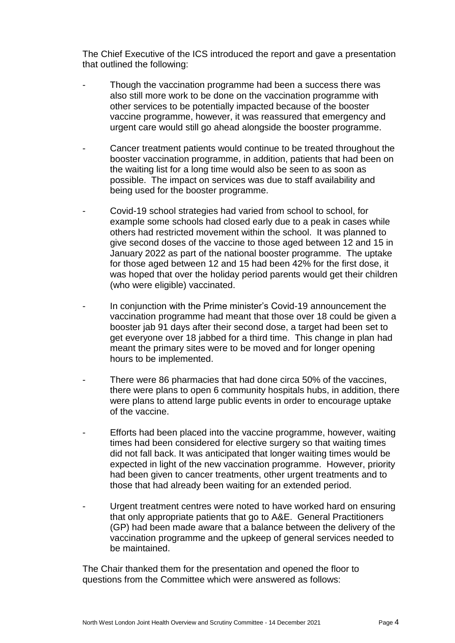The Chief Executive of the ICS introduced the report and gave a presentation that outlined the following:

- Though the vaccination programme had been a success there was also still more work to be done on the vaccination programme with other services to be potentially impacted because of the booster vaccine programme, however, it was reassured that emergency and urgent care would still go ahead alongside the booster programme.
- Cancer treatment patients would continue to be treated throughout the booster vaccination programme, in addition, patients that had been on the waiting list for a long time would also be seen to as soon as possible. The impact on services was due to staff availability and being used for the booster programme.
- Covid-19 school strategies had varied from school to school, for example some schools had closed early due to a peak in cases while others had restricted movement within the school. It was planned to give second doses of the vaccine to those aged between 12 and 15 in January 2022 as part of the national booster programme. The uptake for those aged between 12 and 15 had been 42% for the first dose, it was hoped that over the holiday period parents would get their children (who were eligible) vaccinated.
- In conjunction with the Prime minister's Covid-19 announcement the vaccination programme had meant that those over 18 could be given a booster jab 91 days after their second dose, a target had been set to get everyone over 18 jabbed for a third time. This change in plan had meant the primary sites were to be moved and for longer opening hours to be implemented.
- There were 86 pharmacies that had done circa 50% of the vaccines, there were plans to open 6 community hospitals hubs, in addition, there were plans to attend large public events in order to encourage uptake of the vaccine.
- Efforts had been placed into the vaccine programme, however, waiting times had been considered for elective surgery so that waiting times did not fall back. It was anticipated that longer waiting times would be expected in light of the new vaccination programme. However, priority had been given to cancer treatments, other urgent treatments and to those that had already been waiting for an extended period.
- Urgent treatment centres were noted to have worked hard on ensuring that only appropriate patients that go to A&E. General Practitioners (GP) had been made aware that a balance between the delivery of the vaccination programme and the upkeep of general services needed to be maintained.

The Chair thanked them for the presentation and opened the floor to questions from the Committee which were answered as follows: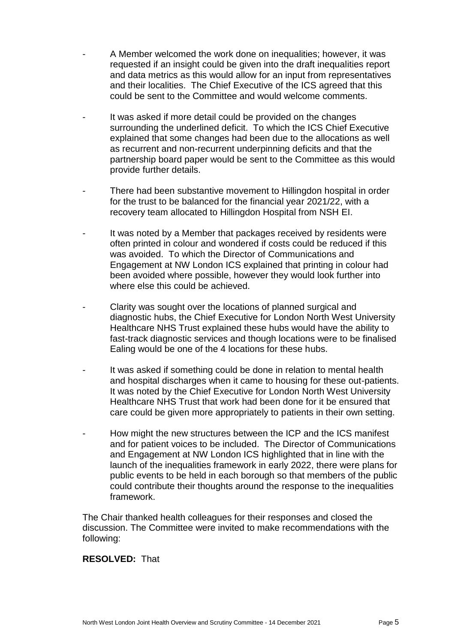- A Member welcomed the work done on inequalities; however, it was requested if an insight could be given into the draft inequalities report and data metrics as this would allow for an input from representatives and their localities. The Chief Executive of the ICS agreed that this could be sent to the Committee and would welcome comments.
- It was asked if more detail could be provided on the changes surrounding the underlined deficit. To which the ICS Chief Executive explained that some changes had been due to the allocations as well as recurrent and non-recurrent underpinning deficits and that the partnership board paper would be sent to the Committee as this would provide further details.
- There had been substantive movement to Hillingdon hospital in order for the trust to be balanced for the financial year 2021/22, with a recovery team allocated to Hillingdon Hospital from NSH EI.
- It was noted by a Member that packages received by residents were often printed in colour and wondered if costs could be reduced if this was avoided. To which the Director of Communications and Engagement at NW London ICS explained that printing in colour had been avoided where possible, however they would look further into where else this could be achieved.
- Clarity was sought over the locations of planned surgical and diagnostic hubs, the Chief Executive for London North West University Healthcare NHS Trust explained these hubs would have the ability to fast-track diagnostic services and though locations were to be finalised Ealing would be one of the 4 locations for these hubs.
- It was asked if something could be done in relation to mental health and hospital discharges when it came to housing for these out-patients. It was noted by the Chief Executive for London North West University Healthcare NHS Trust that work had been done for it be ensured that care could be given more appropriately to patients in their own setting.
- How might the new structures between the ICP and the ICS manifest and for patient voices to be included. The Director of Communications and Engagement at NW London ICS highlighted that in line with the launch of the inequalities framework in early 2022, there were plans for public events to be held in each borough so that members of the public could contribute their thoughts around the response to the inequalities framework.

The Chair thanked health colleagues for their responses and closed the discussion. The Committee were invited to make recommendations with the following:

# **RESOLVED:** That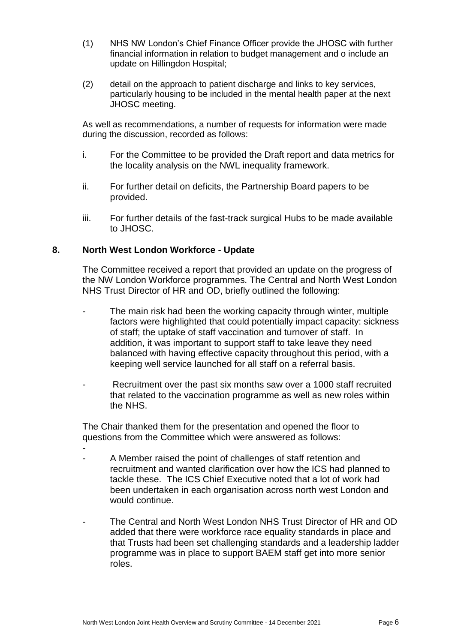- (1) NHS NW London's Chief Finance Officer provide the JHOSC with further financial information in relation to budget management and o include an update on Hillingdon Hospital;
- (2) detail on the approach to patient discharge and links to key services, particularly housing to be included in the mental health paper at the next JHOSC meeting.

As well as recommendations, a number of requests for information were made during the discussion, recorded as follows:

- i. For the Committee to be provided the Draft report and data metrics for the locality analysis on the NWL inequality framework.
- ii. For further detail on deficits, the Partnership Board papers to be provided.
- iii. For further details of the fast-track surgical Hubs to be made available to JHOSC.

## **8. North West London Workforce - Update**

The Committee received a report that provided an update on the progress of the NW London Workforce programmes. The Central and North West London NHS Trust Director of HR and OD, briefly outlined the following:

- The main risk had been the working capacity through winter, multiple factors were highlighted that could potentially impact capacity: sickness of staff; the uptake of staff vaccination and turnover of staff. In addition, it was important to support staff to take leave they need balanced with having effective capacity throughout this period, with a keeping well service launched for all staff on a referral basis.
- Recruitment over the past six months saw over a 1000 staff recruited that related to the vaccination programme as well as new roles within the NHS.

The Chair thanked them for the presentation and opened the floor to questions from the Committee which were answered as follows:

- - A Member raised the point of challenges of staff retention and recruitment and wanted clarification over how the ICS had planned to tackle these. The ICS Chief Executive noted that a lot of work had been undertaken in each organisation across north west London and would continue.

- The Central and North West London NHS Trust Director of HR and OD added that there were workforce race equality standards in place and that Trusts had been set challenging standards and a leadership ladder programme was in place to support BAEM staff get into more senior roles.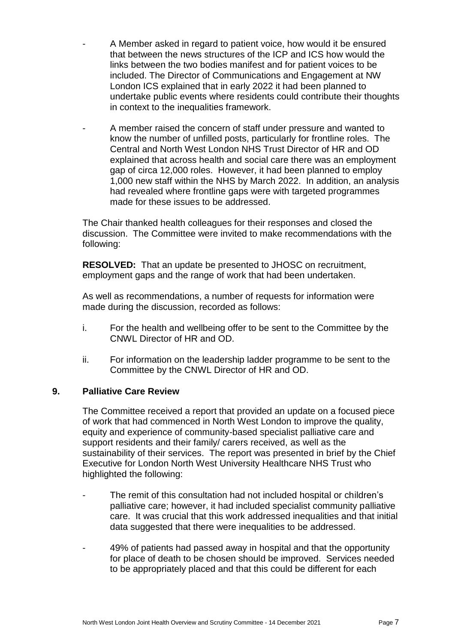- A Member asked in regard to patient voice, how would it be ensured that between the news structures of the ICP and ICS how would the links between the two bodies manifest and for patient voices to be included. The Director of Communications and Engagement at NW London ICS explained that in early 2022 it had been planned to undertake public events where residents could contribute their thoughts in context to the inequalities framework.
- A member raised the concern of staff under pressure and wanted to know the number of unfilled posts, particularly for frontline roles. The Central and North West London NHS Trust Director of HR and OD explained that across health and social care there was an employment gap of circa 12,000 roles. However, it had been planned to employ 1,000 new staff within the NHS by March 2022. In addition, an analysis had revealed where frontline gaps were with targeted programmes made for these issues to be addressed.

The Chair thanked health colleagues for their responses and closed the discussion. The Committee were invited to make recommendations with the following:

**RESOLVED:** That an update be presented to JHOSC on recruitment, employment gaps and the range of work that had been undertaken.

As well as recommendations, a number of requests for information were made during the discussion, recorded as follows:

- i. For the health and wellbeing offer to be sent to the Committee by the CNWL Director of HR and OD.
- ii. For information on the leadership ladder programme to be sent to the Committee by the CNWL Director of HR and OD.

# **9. Palliative Care Review**

The Committee received a report that provided an update on a focused piece of work that had commenced in North West London to improve the quality, equity and experience of community-based specialist palliative care and support residents and their family/ carers received, as well as the sustainability of their services. The report was presented in brief by the Chief Executive for London North West University Healthcare NHS Trust who highlighted the following:

- The remit of this consultation had not included hospital or children's palliative care; however, it had included specialist community palliative care. It was crucial that this work addressed inequalities and that initial data suggested that there were inequalities to be addressed.
- 49% of patients had passed away in hospital and that the opportunity for place of death to be chosen should be improved. Services needed to be appropriately placed and that this could be different for each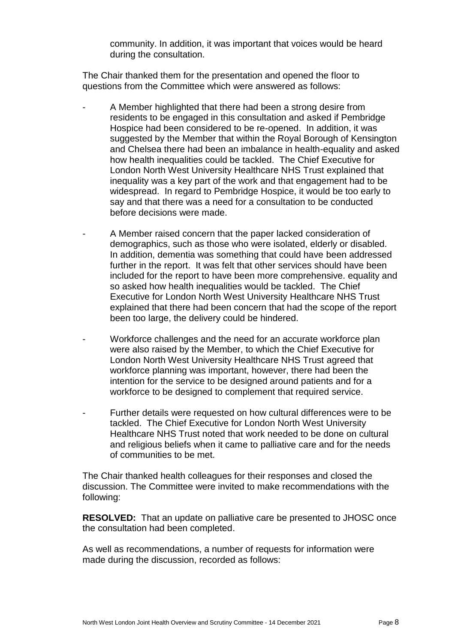community. In addition, it was important that voices would be heard during the consultation.

The Chair thanked them for the presentation and opened the floor to questions from the Committee which were answered as follows:

- A Member highlighted that there had been a strong desire from residents to be engaged in this consultation and asked if Pembridge Hospice had been considered to be re-opened. In addition, it was suggested by the Member that within the Royal Borough of Kensington and Chelsea there had been an imbalance in health-equality and asked how health inequalities could be tackled. The Chief Executive for London North West University Healthcare NHS Trust explained that inequality was a key part of the work and that engagement had to be widespread. In regard to Pembridge Hospice, it would be too early to say and that there was a need for a consultation to be conducted before decisions were made.
- A Member raised concern that the paper lacked consideration of demographics, such as those who were isolated, elderly or disabled. In addition, dementia was something that could have been addressed further in the report. It was felt that other services should have been included for the report to have been more comprehensive. equality and so asked how health inequalities would be tackled. The Chief Executive for London North West University Healthcare NHS Trust explained that there had been concern that had the scope of the report been too large, the delivery could be hindered.
- Workforce challenges and the need for an accurate workforce plan were also raised by the Member, to which the Chief Executive for London North West University Healthcare NHS Trust agreed that workforce planning was important, however, there had been the intention for the service to be designed around patients and for a workforce to be designed to complement that required service.
- Further details were requested on how cultural differences were to be tackled. The Chief Executive for London North West University Healthcare NHS Trust noted that work needed to be done on cultural and religious beliefs when it came to palliative care and for the needs of communities to be met.

The Chair thanked health colleagues for their responses and closed the discussion. The Committee were invited to make recommendations with the following:

**RESOLVED:** That an update on palliative care be presented to JHOSC once the consultation had been completed.

As well as recommendations, a number of requests for information were made during the discussion, recorded as follows: